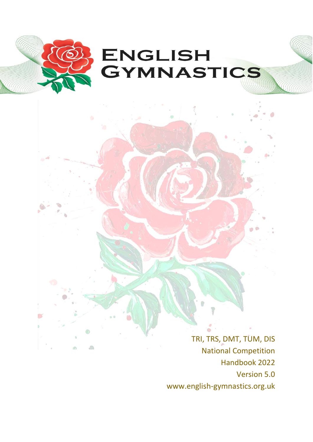

TRI, TRS, DMT, TUM, DIS National Competition Handbook 2022 Version 5.0 www.english-gymnastics.org.uk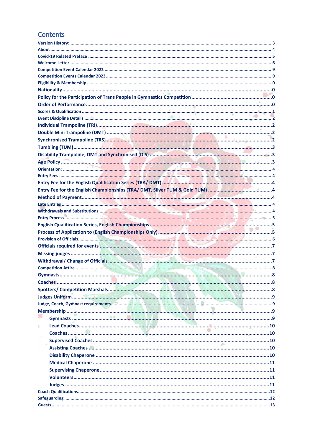### Contents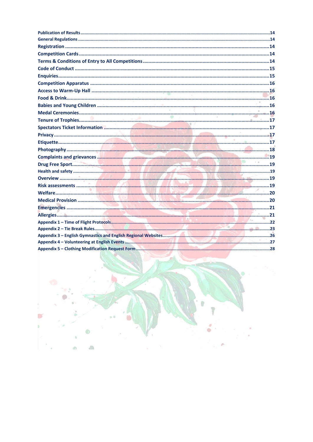| Complaints and grievances <b>Manual Complaints and grievances</b> 19 |  |
|----------------------------------------------------------------------|--|
|                                                                      |  |
|                                                                      |  |
|                                                                      |  |
|                                                                      |  |
|                                                                      |  |
|                                                                      |  |
|                                                                      |  |
|                                                                      |  |
|                                                                      |  |
|                                                                      |  |
|                                                                      |  |
|                                                                      |  |
|                                                                      |  |



Y.

S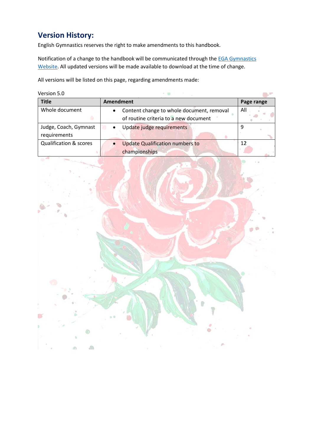### <span id="page-3-0"></span>**Version History:**

English Gymnastics reserves the right to make amendments to this handbook.

Notification of a change to the handbook will be communicated through the **EGA Gymnastics** [Website.](http://www.englishgymnastics.org.uk/) All updated versions will be made available to download at the time of change.

All versions will be listed on this page, regarding amendments made:

Version 5.0

| <b>Title</b>                          | <b>Amendment</b>                                                                   | Page range |
|---------------------------------------|------------------------------------------------------------------------------------|------------|
| Whole document                        | Content change to whole document, removal<br>of routine criteria to a new document | All        |
| Judge, Coach, Gymnast<br>requirements | Update judge requirements                                                          | 9          |
| <b>Qualification &amp; scores</b>     | <b>Update Qualification numbers to</b><br>championships                            |            |

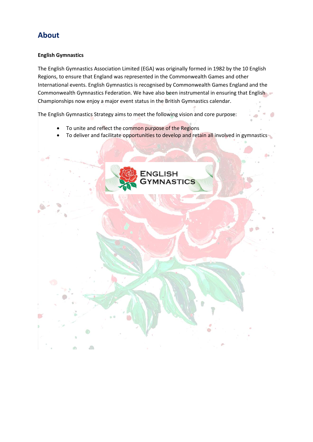### <span id="page-4-0"></span>**About**

### **English Gymnastics**

The English Gymnastics Association Limited (EGA) was originally formed in 1982 by the 10 English Regions, to ensure that England was represented in the Commonwealth Games and other International events. English Gymnastics is recognised by Commonwealth Games England and the Commonwealth Gymnastics Federation. We have also been instrumental in ensuring that English Championships now enjoy a major event status in the British Gymnastics calendar.

The English Gymnastics Strategy aims to meet the following vision and core purpose:

- To unite and reflect the common purpose of the Regions
- To deliver and facilitate opportunities to develop and retain all involved in gymnastics

<span id="page-4-1"></span>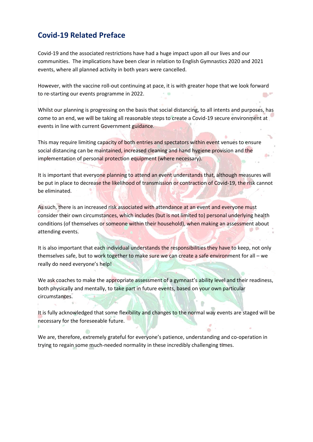### **Covid-19 Related Preface**

Covid-19 and the associated restrictions have had a huge impact upon all our lives and our communities. The implications have been clear in relation to English Gymnastics 2020 and 2021 events, where all planned activity in both years were cancelled.

However, with the vaccine roll-out continuing at pace, it is with greater hope that we look forward to re-starting our events programme in 2022.

Whilst our planning is progressing on the basis that social distancing, to all intents and purposes, has come to an end, we will be taking all reasonable steps to create a Covid-19 secure environment at events in line with current Government guidance.

This may require limiting capacity of both entries and spectators within event venues to ensure social distancing can be maintained, increased cleaning and hand hygiene provision and the implementation of personal protection equipment (where necessary).

It is important that everyone planning to attend an event understands that, although measures will be put in place to decrease the likelihood of transmission or contraction of Covid-19, the risk cannot be eliminated.

As such, there is an increased risk associated with attendance at an event and everyone must consider their own circumstances, which includes (but is not limited to) personal underlying health conditions (of themselves or someone within their household), when making an assessment about attending events.

It is also important that each individual understands the responsibilities they have to keep, not only themselves safe, but to work together to make sure we can create a safe environment for all – we really do need everyone's help!

We ask coaches to make the appropriate assessment of a gymnast's ability level and their readiness, both physically and mentally, to take part in future events, based on your own particular circumstances.

It is fully acknowledged that some flexibility and changes to the normal way events are staged will be necessary for the foreseeable future.

We are, therefore, extremely grateful for everyone's patience, understanding and co-operation in trying to regain some much-needed normality in these incredibly challenging times.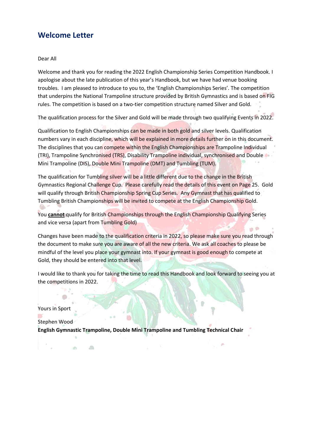### <span id="page-6-0"></span>**Welcome Letter**

Dear All

Welcome and thank you for reading the 2022 English Championship Series Competition Handbook. I apologise about the late publication of this year's Handbook, but we have had venue booking troubles. I am pleased to introduce to you to, the 'English Championships Series'. The competition that underpins the National Trampoline structure provided by British Gymnastics and is based on FIG rules. The competition is based on a two-tier competition structure named Silver and Gold.

The qualification process for the Silver and Gold will be made through two qualifying Events in 2022.

Qualification to English Championships can be made in both gold and silver levels. Qualification numbers vary in each discipline, which will be explained in more details further on in this document. The disciplines that you can compete within the English Championships are Trampoline Individual (TRI), Trampoline Synchronised (TRS), Disability Trampoline individual, synchronised and Double Mini Trampoline (DIS), Double Mini Trampoline (DMT) and Tumbling (TUM).

The qualification for Tumbling silver will be a little different due to the change in the British Gymnastics Regional Challenge Cup. Please carefully read the details of this event on Page 25. Gold will qualify through British Championship Spring Cup Series. Any Gymnast that has qualified to Tumbling British Championships will be invited to compete at the English Championship Gold.

You **cannot** qualify for British Championships through the English Championship Qualifying Series and vice versa (apart from Tumbling Gold)  $\mathbf{p}$  o

Changes have been made to the qualification criteria in 2022, so please make sure you read through the document to make sure you are aware of all the new criteria. We ask all coaches to please be mindful of the level you place your gymnast into. If your gymnast is good enough to compete at Gold, they should be entered into that level.

I would like to thank you for taking the time to read this Handbook and look forward to seeing you at the competitions in 2022.

Yours in Sport

Stephen Wood

 $\partial b$ 

 $\langle 0 \rangle$ 

**English Gymnastic Trampoline, Double Mini Trampoline and Tumbling Technical Chair**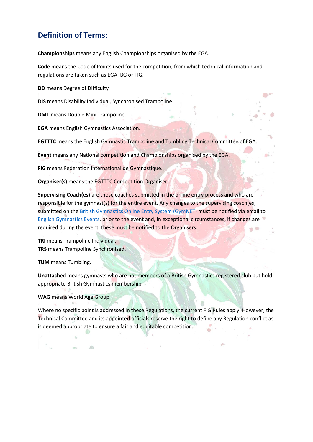### **Definition of Terms:**

**Championships** means any English Championships organised by the EGA.

**Code** means the Code of Points used for the competition, from which technical information and regulations are taken such as EGA, BG or FIG.

**DD** means Degree of Difficulty

**DIS** means Disability Individual, Synchronised Trampoline.

**DMT** means Double Mini Trampoline.

**EGA** means English Gymnastics Association.

**EGTTTC** means the English Gymnastic Trampoline and Tumbling Technical Committee of EGA.

**Event** means any National competition and Championships organised by the EGA.

**FIG** means Federation International de Gymnastique.

**Organiser(s)** means the EGTTTC Competition Organiser

**Supervising Coach(es)** are those coaches submitted in the online entry process and who are responsible for the gymnast(s) for the entire event. Any changes to the supervising coach(es) submitted on the [British Gymnastics Online Entry System \(GymNET\)](https://www.british-gymnastics.org/gymnet/) must be notified via email to [English Gymnastics Events,](mailto:engevents@englishgymnastics.org.uk) prior to the event and, in exceptional circumstances, if changes are required during the event, these must be notified to the Organisers.

**TRI** means Trampoline Individual. **TRS** means Trampoline Synchronised.

**TUM** means Tumbling.

**Unattached** means gymnasts who are not members of a British Gymnastics registered club but hold appropriate British Gymnastics membership.

**WAG** means World Age Group.

ab)

 $\partial\mathbb{R}$ 

Where no specific point is addressed in these Regulations, the current FIG Rules apply. However, the Technical Committee and its appointed officials reserve the right to define any Regulation conflict as is deemed appropriate to ensure a fair and equitable competition.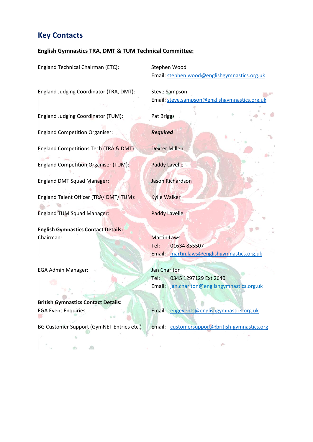### **Key Contacts**

### **English Gymnastics TRA, DMT & TUM Technical Committee:**

England Technical Chairman (ETC): Stephen Wood

England Judging Coordinator (TRA, DMT): Steve Sampson

England Judging Coordinator (TUM): Pat Briggs

England Competition Organiser: *Required*

England Competitions Tech (TRA & DMT): Dexter Millen

England Competition Organiser (TUM): Paddy Lavelle

England DMT Squad Manager: Jason Richardson

England Talent Officer (TRA/ DMT/ TUM): Kylie Walker

England TUM Squad Manager: Paddy Lavelle

**English Gymnastics Contact Details:** Chairman: Martin Laws

EGA Admin Manager: Jan Charlton

**British Gymnastics Contact Details:**

通

BG Customer Support (GymNET Entries etc.) Email: [customersupport@british-gymnastics.org](mailto:customersupport@british-gymnastics.org)

 $\sqrt{2}$ 

Email: [stephen.wood@englishgymnastics.org.uk](mailto:stephen.wood@englishgymnastics.org.uk)

Email: steve.sampson@englishgymnastics.org

Tel: 01634 855507 Email: [martin.laws@englishgymnastics.org.uk](mailto:martin.laws@englishgymnastics.org.uk)

Tel: 0345 1297129 Ext 2640 Email: jan.charlton@englishgymnastics.org.uk

EGA Event Enquiries **Email:** [engevents@englishgymnastics.org.uk](mailto:engevents@englishgymnastics.org.uk)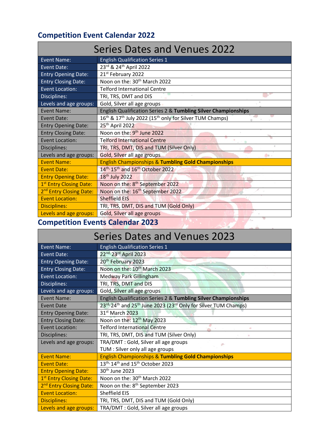### <span id="page-9-0"></span>**Competition Event Calendar 2022**

| <b>Series Dates and Venues 2022</b> |                                                                                             |  |
|-------------------------------------|---------------------------------------------------------------------------------------------|--|
| <b>Event Name:</b>                  | <b>English Qualification Series 1</b>                                                       |  |
| <b>Event Date:</b>                  | 23rd & 24th April 2022                                                                      |  |
| <b>Entry Opening Date:</b>          | 21 <sup>st</sup> February 2022                                                              |  |
| <b>Entry Closing Date:</b>          | Noon on the: 30 <sup>th</sup> March 2022                                                    |  |
| <b>Event Location:</b>              | <b>Telford International Centre</b>                                                         |  |
| Disciplines:                        | TRI, TRS, DMT and DIS                                                                       |  |
| Levels and age groups:              | Gold, Silver all age groups                                                                 |  |
| <b>Event Name:</b>                  | English Qualification Series 2 & Tumbling Silver Championships                              |  |
| Event Date:                         | 16 <sup>th</sup> & 17 <sup>th</sup> July 2022 (15 <sup>th</sup> only for Silver TUM Champs) |  |
| <b>Entry Opening Date:</b>          | 25 <sup>th</sup> April 2022                                                                 |  |
| <b>Entry Closing Date:</b>          | Noon on the: 9 <sup>th</sup> June 2022                                                      |  |
| <b>Event Location:</b>              | <b>Telford International Centre</b>                                                         |  |
| Disciplines:                        | TRI, TRS, DMT, DIS and TUM (Silver Only)                                                    |  |
| Levels and age groups:              | Gold, Silver all age groups<br>命。                                                           |  |
| <b>Event Name:</b>                  | <b>English Championships &amp; Tumbling Gold Championships</b>                              |  |
| <b>Event Date:</b>                  | 14 <sup>th,</sup> 15 <sup>th</sup> and 16 <sup>th</sup> October 2022                        |  |
| <b>Entry Opening Date:</b>          | 18 <sup>th</sup> July 2022                                                                  |  |
| 1 <sup>st</sup> Entry Closing Date: | Noon on the: 8 <sup>th</sup> September 2022                                                 |  |
| 2 <sup>nd</sup> Entry Closing Date: | Noon on the: 16 <sup>th</sup> September 2022                                                |  |
| <b>Event Location:</b>              | <b>Sheffield EIS</b>                                                                        |  |
| <b>Disciplines:</b>                 | TRI, TRS, DMT, DIS and TUM (Gold Only)                                                      |  |
| Levels and age groups:              | Gold, Silver all age groups                                                                 |  |

### <span id="page-9-1"></span>**Competition Events Calendar 2023**

## Series Dates and Venues 2023

| Event Name:                         | <b>English Qualification Series 1</b>                                    |
|-------------------------------------|--------------------------------------------------------------------------|
| <b>Event Date:</b>                  | 22nd, 23rd April 2023                                                    |
| <b>Entry Opening Date:</b>          | 20 <sup>th</sup> February 2023                                           |
| <b>Entry Closing Date:</b>          | Noon on the: 10 <sup>th</sup> March 2023                                 |
| <b>Event Location:</b>              | <b>Medway Park Gillingham</b>                                            |
| Disciplines:                        | TRI, TRS, DMT and DIS                                                    |
| Levels and age groups:              | Gold, Silver all age groups                                              |
| <b>Event Name:</b>                  | English Qualification Series 2 & Tumbling Silver Championships           |
| <b>Event Date</b>                   | 23rd, 24th and 25th June 2023 (23rd Only for Silver TUM Champs)          |
| <b>Entry Opening Date:</b>          | 31st March 2023                                                          |
| <b>Entry Closing Date:</b>          | Noon on the: 12 <sup>th</sup> May 2023                                   |
| <b>Event Location:</b>              | <b>Telford International Centre</b><br><b>Contract Contract Contract</b> |
| Disciplines:                        | TRI, TRS, DMT, DIS and TUM (Silver Only)                                 |
| Levels and age groups:              | TRA/DMT: Gold, Silver all age groups<br>÷.                               |
|                                     | TUM : Silver only all age groups                                         |
| <b>Event Name:</b>                  | <b>English Championships &amp; Tumbling Gold Championships</b>           |
| <b>Event Date:</b>                  | 13 <sup>th,</sup> 14 <sup>th</sup> and 15 <sup>th</sup> October 2023     |
| <b>Entry Opening Date:</b>          | 30 <sup>th</sup> June 2023                                               |
| 1 <sup>st</sup> Entry Closing Date: | Noon on the: 30 <sup>th</sup> March 2022                                 |
| 2 <sup>nd</sup> Entry Closing Date: | Noon on the: 8 <sup>th</sup> September 2023                              |
| <b>Event Location:</b>              | Sheffield EIS                                                            |
| <b>Disciplines:</b>                 | TRI, TRS, DMT, DIS and TUM (Gold Only)                                   |
| Levels and age groups:              | TRA/DMT: Gold, Silver all age groups                                     |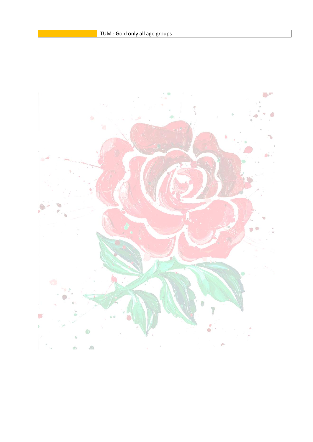<span id="page-10-0"></span>![](_page_10_Picture_1.jpeg)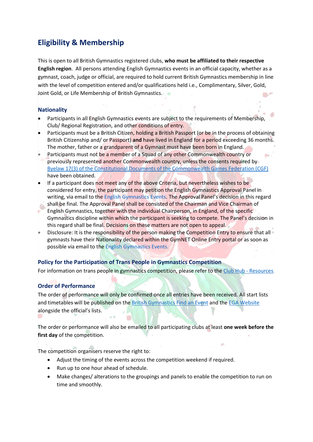### <span id="page-11-0"></span>**Eligibility & Membership**

This is open to all British Gymnastics registered clubs, **who must be affiliated to their respective English region**. All persons attending English Gymnastics events in an official capacity, whether as a gymnast, coach, judge or official, are required to hold current British Gymnastics membership in line with the level of competition entered and/or qualifications held i.e., Complimentary, Silver, Gold, Joint Gold, or Life Membership of British Gymnastics.  $\mathbb{R}^n$ 

### <span id="page-11-1"></span>**Nationality**

- Participants in all English Gymnastics events are subject to the requirements of Membership, Club/ Regional Registration, and other conditions of entry.
- Participants must be a British Citizen, holding a British Passport (or be in the process of obtaining British Citizenship and/ or Passport) **and** have lived in England for a period exceeding 36 months. The mother, father or a grandparent of a Gymnast must have been born in England.
- Participants must not be a member of a Squad of any other Commonwealth country or previously represented another Commonwealth country, unless the consents required by [Byelaw 17\(3\) of the Constitutional Documents of the Commonwealth Games Federation \(CGF\)](https://thecgf.com/sites/default/files/2018-03/constitution.pdf) have been obtained.
- If a participant does not meet any of the above Criteria, but nevertheless wishes to be considered for entry, the participant may petition the English Gymnastics Approval Panel in writing, via email to the [English Gymnastics Events](mailto:engevents@englishgymnastics.org.uk). The Approval Panel's decision in this regard shall be final. The Approval Panel shall be consisted of the Chairman and Vice Chairman of English Gymnastics, together with the individual Chairperson, in England, of the specific Gymnastics discipline within which the participant is seeking to compete. The Panel's decision in this regard shall be final. Decisions on these matters are not open to appeal.
- Disclosure: It is the responsibility of the person making the Competition Entry to ensure that all gymnasts have their Nationality declared within the GymNET Online Entry portal or as soon as possible via email to th[e English Gymnastics Events.](mailto:engevents@englishgymnastics.org.uk)

### <span id="page-11-2"></span>**Policy for the Participation of Trans People in Gymnastics Competition**

For information on trans people in gymnastics competition, please refer to the [Club Hub -](https://clubhub-resources.british-gymnastics.org/lessons/policy-on-the-participation-of-trans-people-in-gymnastics-competition-v2-2/) Resources.

### <span id="page-11-3"></span>**Order of Performance**

The order of performance will only be confirmed once all entries have been received. All start lists and timetables will be published on th[e British Gymnastics Find an Event](https://www.british-gymnastics.org/find-an-event) and the [EGA Website](http://www.englishgymnastics.org.uk/) alongside the official's lists.

The order or performance will also be emailed to all participating clubs at least **one week before the first day** of the competition.

The competition organisers reserve the right to:

- Adjust the timing of the events across the competition weekend if required.
- Run up to one hour ahead of schedule.
- Make changes/ alterations to the groupings and panels to enable the competition to run on time and smoothly.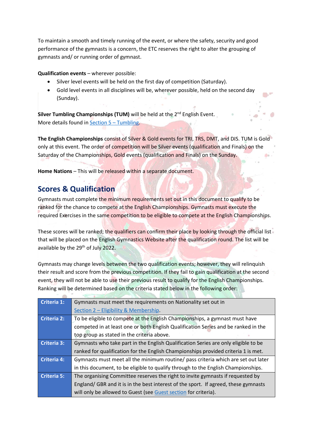To maintain a smooth and timely running of the event, or where the safety, security and good performance of the gymnasts is a concern, the ETC reserves the right to alter the grouping of gymnasts and/ or running order of gymnast.

**Qualification events** – wherever possible:

- Silver level events will be held on the first day of competition (Saturday).
- Gold level events in all disciplines will be, wherever possible, held on the second day (Sunday).

**Silver Tumbling Championships (TUM)** will be held at the 2<sup>nd</sup> English Event. More details found in Section 5 – Tumbling.

**The English Championships** consist of Silver & Gold events for TRI, TRS, DMT, and DIS. TUM is Gold only at this event. The order of competition will be Silver events (qualification and Finals) on the Saturday of the Championships, Gold events (qualification and Finals) on the Sunday.

**Home Nations** – This will be released within a separate document.

### <span id="page-12-0"></span>**Scores & Qualification**

Gymnasts must complete the minimum requirements set out in this document to qualify to be ranked for the chance to compete at the English Championships. Gymnasts must execute the required Exercises in the same competition to be eligible to compete at the English Championships.

These scores will be ranked; the qualifiers can confirm their place by looking through the official list that will be placed on the English Gymnastics Website after the qualification round. The list will be available by the 29<sup>th</sup> of July 2022.

Gymnasts may change levels between the two qualification events; however, they will relinquish their result and score from the previous competition. If they fail to gain qualification at the second event, they will not be able to use their previous result to qualify for the English Championships. Ranking will be determined based on the criteria stated below in the following order:

| Criteria 1: | Gymnasts must meet the requirements on Nationality set out in                       |  |
|-------------|-------------------------------------------------------------------------------------|--|
|             | Section 2 - Eligibility & Membership.                                               |  |
| Criteria 2: | To be eligible to compete at the English Championships, a gymnast must have         |  |
|             | competed in at least one or both English Qualification Series and be ranked in the  |  |
|             | top group as stated in the criteria above.                                          |  |
| Criteria 3: | Gymnasts who take part in the English Qualification Series are only eligible to be  |  |
|             | ranked for qualification for the English Championships provided criteria 1 is met.  |  |
| Criteria 4: | Gymnasts must meet all the minimum routine/ pass criteria which are set out later   |  |
|             | in this document, to be eligible to qualify through to the English Championships.   |  |
| Criteria 5: | The organising Committee reserves the right to invite gymnasts if requested by      |  |
|             | England/ GBR and it is in the best interest of the sport. If agreed, these gymnasts |  |
|             | will only be allowed to Guest (see Guest section for criteria).                     |  |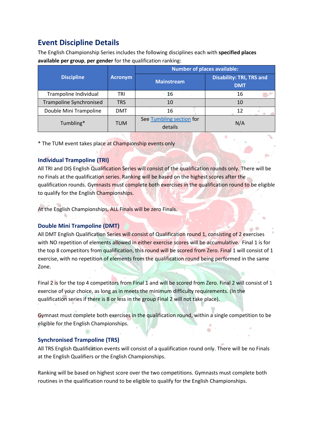### <span id="page-13-0"></span>**Event Discipline Details**

The English Championship Series includes the following disciplines each with **specified places available per group**, **per gender** for the qualification ranking:

|                                |            |                                     | Number of places available:                   |
|--------------------------------|------------|-------------------------------------|-----------------------------------------------|
| <b>Discipline</b>              | Acronym    | <b>Mainstream</b>                   | <b>Disability: TRI, TRS and</b><br><b>DMT</b> |
| Trampoline Individual          | TRI        | 16                                  | 16                                            |
| <b>Trampoline Synchronised</b> | <b>TRS</b> | 10                                  | 10                                            |
| Double Mini Trampoline         | <b>DMT</b> | 16                                  | 12                                            |
| Tumbling*                      | <b>TUM</b> | See Tumbling section for<br>details | N/A                                           |

\* The TUM event takes place at Championship events only

### <span id="page-13-1"></span>**Individual Trampoline (TRI)**

All TRI and DIS English Qualification Series will consist of the qualification rounds only. There will be no Finals at the qualification series. Ranking will be based on the highest scores after the qualification rounds. Gymnasts must complete both exercises in the qualification round to be eligible to qualify for the English Championships.

At the English Championships, ALL Finals will be zero Finals.

### <span id="page-13-2"></span>**Double Mini Trampoline (DMT)**

All DMT English Qualification Series will consist of Qualification round 1, consisting of 2 exercises with NO repetition of elements allowed in either exercise scores will be accumulative. Final 1 is for the top 8 competitors from qualification, this round will be scored from Zero. Final 1 will consist of 1 exercise, with no repetition of elements from the qualification round being performed in the same Zone.

Final 2 is for the top 4 competitors from Final 1 and will be scored from Zero. Final 2 will consist of 1 exercise of your choice, as long as in meets the minimum difficulty requirements. (In the qualification series if there is 8 or less in the group Final 2 will not take place).

Gymnast must complete both exercises in the qualification round, within a single competition to be eligible for the English Championships.

### <span id="page-13-3"></span>**Synchronised Trampoline (TRS)**

All TRS English Qualification events will consist of a qualification round only. There will be no Finals at the English Qualifiers or the English Championships.

Ranking will be based on highest score over the two competitions. Gymnasts must complete both routines in the qualification round to be eligible to qualify for the English Championships.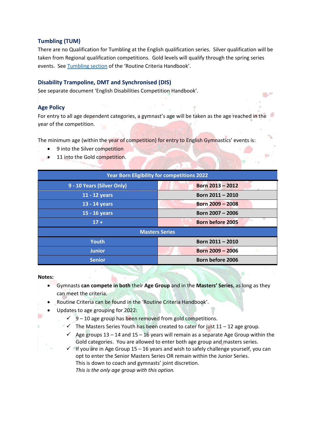### <span id="page-14-0"></span>**Tumbling (TUM)**

There are no Qualification for Tumbling at the English qualification series. Silver qualification will be taken from Regional qualification competitions. Gold levels will qualify through the spring series events. See Tumbling section of the 'Routine Criteria Handbook'.

### <span id="page-14-1"></span>**Disability Trampoline, DMT and Synchronised (DIS)**

See separate document 'English Disabilities Competition Handbook'.

### <span id="page-14-2"></span>**Age Policy**

For entry to all age dependent categories, a gymnast's age will be taken as the age reached in the year of the competition.

The minimum age (within the year of competition) for entry to English Gymnastics' events is:

- 9 into the Silver competition
- 11 into the Gold competition.

| <b>Year Born Eligibility for competitions 2022</b> |                         |  |  |
|----------------------------------------------------|-------------------------|--|--|
| 9 - 10 Years (Silver Only)                         | Born 2013 - 2012        |  |  |
| 11 - 12 years                                      | Born 2011 - 2010        |  |  |
| 13 - 14 years                                      | Born 2009 - 2008        |  |  |
| 15 - 16 years                                      | Born 2007 - 2006        |  |  |
| $17 +$                                             | <b>Born before 2005</b> |  |  |
| <b>Masters Series</b>                              |                         |  |  |
| <b>Youth</b>                                       | Born 2011 - 2010        |  |  |
| <b>Junior</b>                                      | Born 2009 - 2006        |  |  |
| <b>Senior</b>                                      | <b>Born before 2006</b> |  |  |
|                                                    |                         |  |  |

#### **Notes:**

- Gymnasts **can compete in both** their **Age Group** and in the **Masters' Series**, as long as they can meet the criteria.
- Routine Criteria can be found in the 'Routine Criteria Handbook'.
- Updates to age grouping for 2022:
	- $\check{9}$  10 age group has been removed from gold competitions.
	- $\checkmark$  The Masters Series Youth has been created to cater for just 11 12 age group.
	- $\checkmark$  Age groups 13 14 and 15 16 years will remain as a separate Age Group within the Gold categories. You are allowed to enter both age group and masters series.
	- $\checkmark$  If you are in Age Group 15 16 years and wish to safely challenge yourself, you can opt to enter the Senior Masters Series OR remain within the Junior Series. This is down to coach and gymnasts' joint discretion. *This is the only age group with this option.*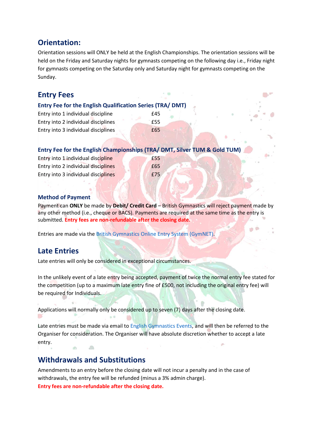### <span id="page-15-0"></span>**Orientation:**

Orientation sessions will ONLY be held at the English Championships. The orientation sessions will be held on the Friday and Saturday nights for gymnasts competing on the following day i.e., Friday night for gymnasts competing on the Saturday only and Saturday night for gymnasts competing on the Sunday.

### <span id="page-15-1"></span>**Entry Fees**

### <span id="page-15-2"></span>**Entry Fee for the English Qualification Series (TRA/ DMT)**

| Entry into 1 individual discipline  | £45   |
|-------------------------------------|-------|
| Entry into 2 individual disciplines | ' £55 |
| Entry into 3 individual disciplines | £65   |

### <span id="page-15-3"></span>**Entry Fee for the English Championships (TRA/ DMT, Silver TUM & Gold TUM)**

| Entry into 1 individual discipline  | £55 |
|-------------------------------------|-----|
| Entry into 2 individual disciplines | £65 |
| Entry into 3 individual disciplines | £75 |

### <span id="page-15-4"></span>**Method of Payment**

Payment can **ONLY** be made by **Debit/ Credit Card** – British Gymnastics will reject payment made by any other method (i.e., cheque or BACS). Payments are required at the same time as the entry is submitted. **Entry fees are non-refundable after the closing date.**

p é

Entries are made via the [British Gymnastics Online Entry System \(GymNET\).](https://www.british-gymnastics.org/gymnet/)

### <span id="page-15-5"></span>**Late Entries**

Late entries will only be considered in exceptional circumstances.

In the unlikely event of a late entry being accepted, payment of twice the normal entry fee stated for the competition (up to a maximum late entry fine of £500, not including the original entry fee) will be required for Individuals.

Applications will normally only be considered up to seven (7) days after the closing date.

Late entries must be made via email to [English Gymnastics Events,](mailto:engevents@englishgymnastics.org.uk) and will then be referred to the Organiser for consideration. The Organiser will have absolute discretion whether to accept a late entry.  $\sqrt{m}$ 

### <span id="page-15-6"></span>**Withdrawals and Substitutions**

Amendments to an entry before the closing date will not incur a penalty and in the case of withdrawals, the entry fee will be refunded (minus a 3% admin charge). **Entry fees are non-refundable after the closing date.**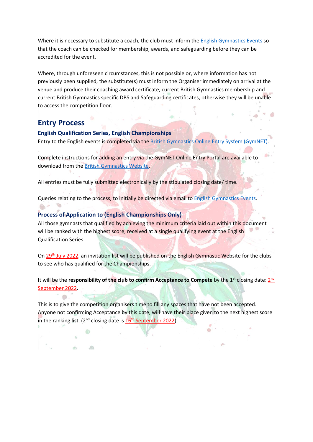Where it is necessary to substitute a coach, the club must inform th[e English Gymnastics Events](mailto:engevents@englishgymnastics.org.uk) so that the coach can be checked for membership, awards, and safeguarding before they can be accredited for the event.

Where, through unforeseen circumstances, this is not possible or, where information has not previously been supplied, the substitute(s) must inform the Organiser immediately on arrival at the venue and produce their coaching award certificate, current British Gymnastics membership and current British Gymnastics specific DBS and Safeguarding certificates, otherwise they will be unable to access the competition floor.

### <span id="page-16-0"></span>**Entry Process**

 $\mathbb{R}$ 

<span id="page-16-1"></span>**English Qualification Series, English Championships** Entry to the English events is completed via the [British Gymnastics Online Entry System \(GymNET\).](https://www.british-gymnastics.org/gymnet/)

Complete instructions for adding an entry via the GymNET Online Entry Portal are available to download from the [British Gymnastics](https://www.british-gymnastics.org/docman/regions-and-home-countries/england/news-1/4621-on-line-entry-system-guidance-notes/file) Website.

All entries must be fully submitted electronically by the stipulated closing date/ time.

Queries relating to the process, to initially be directed via email to [English Gymnastics Events.](mailto:engevents@englishgymnastics.org.uk)

### <span id="page-16-2"></span>**Process of Application to (English Championships Only)**

All those gymnasts that qualified by achieving the minimum criteria laid out within this document will be ranked with the highest score, received at a single qualifying event at the English Qualification Series.

On 29th July 2022, an invitation list will be published on the English Gymnastic Website for the clubs to see who has qualified for the Championships.

It will be the **responsibility of the club to confirm Acceptance to Compete** by the 1<sup>st</sup> closing date: 2<sup>nd</sup> September 2022.

This is to give the competition organisers time to fill any spaces that have not been accepted. Anyone not confirming Acceptance by this date, will have their place given to the next highest score in the ranking list,  $(2^{nd}$  closing date is  $16<sup>th</sup>$  September 2022).

a)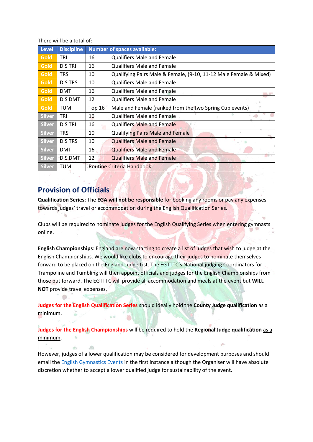There will be a total of:

| Level         | <b>Discipline</b> | <b>Number of spaces available:</b>                                       |
|---------------|-------------------|--------------------------------------------------------------------------|
| <b>Gold</b>   | TRI               | <b>Qualifiers Male and Female</b><br>16                                  |
| Gold          | <b>DIS TRI</b>    | 16<br><b>Qualifiers Male and Female</b>                                  |
| <b>Gold</b>   | <b>TRS</b>        | Qualifying Pairs Male & Female, (9-10, 11-12 Male Female & Mixed)<br>10  |
| Gold          | <b>DIS TRS</b>    | 10<br><b>Qualifiers Male and Female</b>                                  |
| Gold          | <b>DMT</b>        | 16<br><b>Qualifiers Male and Female</b>                                  |
| Gold          | <b>DIS DMT</b>    | 12<br><b>Qualifiers Male and Female</b>                                  |
| Gold          | <b>TUM</b>        | Male and Female (ranked from the two Spring Cup events)<br><b>Top 16</b> |
| <b>Silver</b> | TRI               | 16<br><b>Qualifiers Male and Female</b>                                  |
| <b>Silver</b> | <b>DIS TRI</b>    | 16<br><b>Qualifiers Male and Female</b>                                  |
| <b>Silver</b> | <b>TRS</b>        | 10<br><b>Qualifying Pairs Male and Female</b>                            |
| <b>Silver</b> | <b>DIS TRS</b>    | 10<br><b>Qualifiers Male and Female</b>                                  |
| <b>Silver</b> | <b>DMT</b>        | 16<br><b>Qualifiers Male and Female</b>                                  |
| <b>Silver</b> | <b>DIS DMT</b>    | 12<br><b>Qualifiers Male and Female</b>                                  |
| <b>Silver</b> | <b>TUM</b>        | Routine Criteria Handbook                                                |

### <span id="page-17-0"></span>**Provision of Officials**

 $d\Omega$ 

 $\langle 0 \rangle$ 

**Qualification Series**: The **EGA will not be responsible** for booking any rooms or pay any expenses towards judges' travel or accommodation during the English Qualification Series.

Clubs will be required to nominate judges for the English Qualifying Series when entering gymnasts online.

**English Championships**: England are now starting to create a list of judges that wish to judge at the English Championships. We would like clubs to encourage their judges to nominate themselves forward to be placed on the England Judge List. The EGTTTC's National judging Coordinators for Trampoline and Tumbling will then appoint officials and judges for the English Championships from those put forward. The EGTTTC will provide all accommodation and meals at the event but **WILL NOT** provide travel expenses.

**Judges for the English Qualification Series** should ideally hold the **County Judge qualification** as a minimum.

**Judges for the English Championships** will be required to hold the **Regional Judge qualification** as a minimum.

However, judges of a lower qualification may be considered for development purposes and should email th[e English Gymnastics Events](mailto:engevents@englishgymnastics.org.uk) in the first instance although the Organiser will have absolute discretion whether to accept a lower qualified judge for sustainability of the event.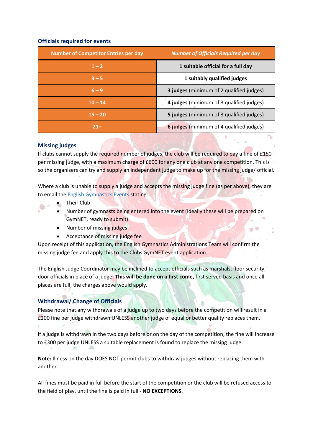### <span id="page-18-0"></span>**Officials required for events**

| <b>Number of Competitor Entries per day</b> | <b>Number of Officials Required per day</b>     |
|---------------------------------------------|-------------------------------------------------|
| $1 - 2$                                     | 1 suitable official for a full day              |
| $3 - 5$                                     | 1 suitably qualified judges                     |
| $6 - 9$                                     | <b>3 judges</b> (minimum of 2 qualified judges) |
| $10 - 14$                                   | 4 judges (minimum of 3 qualified judges)        |
| $15 - 20$                                   | 5 judges (minimum of 3 qualified judges)        |
| $21+$                                       | 6 judges (minimum of 4 qualified judges)        |

### <span id="page-18-1"></span>**Missing judges**

If clubs cannot supply the required number of judges, the club will be required to pay a fine of £150 per missing judge, with a maximum charge of £600 for any one club at any one competition. This is so the organisers can try and supply an independent judge to make up for the missing judge/ official.

Where a club is unable to supply a judge and accepts the missing judge fine (as per above), they are to email th[e English Gymnastics Events](mailto:engevents@englishgymnastics.org.uk) stating:

- Their Club
- Number of gymnasts being entered into the event (ideally these will be prepared on GymNET, ready to submit)

 $\blacksquare$ 

- Number of missing judges
- Acceptance of missing judge fee

Upon receipt of this application, the English Gymnastics Administrations Team will confirm the missing judge fee and apply this to the Clubs GymNET event application.

The English Judge Coordinator may be inclined to accept officials such as marshals, floor security, door officials in place of a judge. **This will be done on a first come,** first served basis and once all places are full, the charges above would apply.

### <span id="page-18-2"></span>**Withdrawal/ Change of Officials**

Please note that any withdrawals of a judge up to two days before the competition will result in a £200 fine per judge withdrawn UNLESS another judge of equal or better quality replaces them.

If a judge is withdrawn in the two days before or on the day of the competition, the fine will increase to £300 per judge UNLESS a suitable replacement is found to replace the missing judge.

**Note:** Illness on the day DOES NOT permit clubs to withdraw judges without replacing them with another.

All fines must be paid in full before the start of the competition or the club will be refused access to the field of play, until the fine is paid in full - **NO EXCEPTIONS**.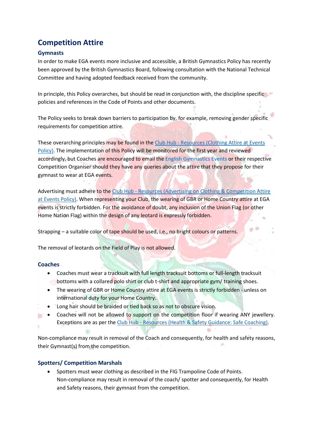### <span id="page-19-0"></span>**Competition Attire**

### <span id="page-19-1"></span>**Gymnasts**

In order to make EGA events more inclusive and accessible, a British Gymnastics Policy has recently been approved by the British Gymnastics Board, following consultation with the National Technical Committee and having adopted feedback received from the community.

In principle, this Policy overarches, but should be read in conjunction with, the discipline specific policies and references in the Code of Points and other documents.

The Policy seeks to break down barriers to participation by, for example, removing gender specific requirements for competition attire.

These overarching principles may be found in the Club Hub - Resources (Clothing Attire at Events [Policy\).](https://clubhub-resources.british-gymnastics.org/lessons/clothing-attire-at-events-policy-v1/) The implementation of this Policy will be monitored for the first year and reviewed accordingly, but Coaches are encouraged to email th[e English Gymnastics Events](mailto:engevents@englishgymnastics.org.uk) or their respective Competition Organiser should they have any queries about the attire that they propose for their gymnast to wear at EGA events.

Advertising must adhere to the Club Hub - Resources (Advertising on Clothing & Competition Attire [at Events Policy\).](https://clubhub-resources.british-gymnastics.org/lessons/advertising-on-competition-clothing-attire-at-events-v1/) When representing your Club, the wearing of GBR or Home Country attire at EGA events is strictly forbidden. For the avoidance of doubt, any inclusion of the Union Flag (or other Home Nation Flag) within the design of any leotard is expressly forbidden.

Strapping – a suitable color of tape should be used, i.e., no bright colours or patterns.

The removal of leotards on the Field of Play is not allowed.

### <span id="page-19-2"></span>**Coaches**

 $\sim$ 

- Coaches must wear a tracksuit with full length tracksuit bottoms or full-length tracksuit bottoms with a collared polo shirt or club t-shirt and appropriate gym/ training shoes.
- The wearing of GBR or Home Country attire at EGA events is strictly forbidden unless on international duty for your Home Country.
- Long hair should be braided or tied back so as not to obscure vision.
- Coaches will not be allowed to support on the competition floor if wearing ANY jewellery. Exceptions are as per the Club Hub - [Resources \(Health & Safety Guidance: Safe Coaching\).](https://clubhub-resources.british-gymnastics.org/lessons/health-and-safety-guidance-safe-coaching/)

Non-compliance may result in removal of the Coach and consequently, for health and safety reasons, their Gymnast(s) from the competition.

### <span id="page-19-3"></span>**Spotters/ Competition Marshals**

• Spotters must wear clothing as described in the FIG Trampoline Code of Points. Non-compliance may result in removal of the coach/ spotter and consequently, for Health and Safety reasons, their gymnast from the competition.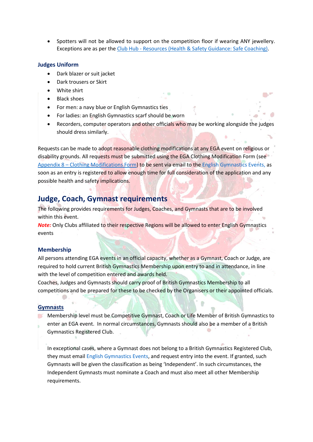• Spotters will not be allowed to support on the competition floor if wearing ANY jewellery. Exceptions are as per the Club Hub - [Resources \(Health & Safety Guidance: Safe Coaching\).](https://clubhub-resources.british-gymnastics.org/lessons/health-and-safety-guidance-safe-coaching/)

#### <span id="page-20-0"></span>**Judges Uniform**

- Dark blazer or suit jacket
- Dark trousers or Skirt
- White shirt
- Black shoes
- For men: a navy blue or English Gymnastics ties
- For ladies: an English Gymnastics scarf should be worn
- Recorders, computer operators and other officials who may be working alongside the judges should dress similarly.

Requests can be made to adopt reasonable clothing modifications at any EGA event on religious or disability grounds. All requests must be submitted using the EGA Clothing Modification Form (see Appendix 8 – [Clothing Modifications Form\)](#page-39-0) to be sent via email to th[e English Gymnastics Events,](mailto:engevents@englishgymnastics.org.uk) as soon as an entry is registered to allow enough time for full consideration of the application and any possible health and safety implications.

### <span id="page-20-1"></span>**Judge, Coach, Gymnast requirements**

The following provides requirements for Judges, Coaches, and Gymnasts that are to be involved within this event.

*Note:* Only Clubs affiliated to their respective Regions will be allowed to enter English Gymnastics events

#### <span id="page-20-2"></span>**Membership**

All persons attending EGA events in an official capacity, whether as a Gymnast, Coach or Judge, are required to hold current British Gymnastics Membership upon entry to and in attendance, in line with the level of competition entered and awards held.

Coaches, Judges and Gymnasts should carry proof of British Gymnastics Membership to all competitions and be prepared for these to be checked by the Organisers or their appointed officials.

#### <span id="page-20-3"></span>**Gymnasts**

Membership level must be Competitive Gymnast, Coach or Life Member of British Gymnastics to enter an EGA event. In normal circumstances, Gymnasts should also be a member of a British Gymnastics Registered Club.

In exceptional cases, where a Gymnast does not belong to a British Gymnastics Registered Club, they must emai[l English Gymnastics Events,](mailto:engevents@englishgymnastics.org.uk) and request entry into the event. If granted, such Gymnasts will be given the classification as being 'Independent'. In such circumstances, the Independent Gymnasts must nominate a Coach and must also meet all other Membership requirements.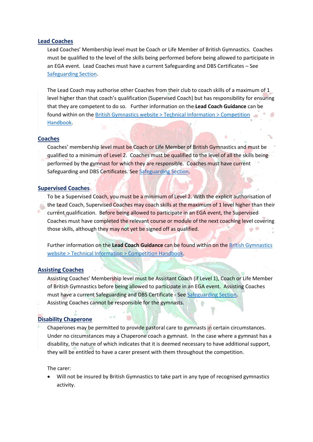#### <span id="page-21-0"></span>**Lead Coaches**

Lead Coaches' Membership level must be Coach or Life Member of British Gymnastics. Coaches must be qualified to the level of the skills being performed before being allowed to participate in an EGA event. Lead Coaches must have a current Safeguarding and DBS Certificates – See [Safeguarding Section.](#page-23-1)

The Lead Coach may authorise other Coaches from their club to coach skills of a maximum of 1 level higher than that coach's qualification (Supervised Coach) but has responsibility for ensuring that they are competent to do so. Further information on the **Lead Coach Guidance** can be found within on the [British Gymnastics website > Technical Information > Competition](https://www.british-gymnastics.org/technical-information/competition-handbooks/tumbling)  [Handbook.](https://www.british-gymnastics.org/technical-information/competition-handbooks/tumbling)

#### <span id="page-21-1"></span>**Coaches**

Coaches' membership level must be Coach or Life Member of British Gymnastics and must be qualified to a minimum of Level 2. Coaches must be qualified to the level of all the skills being performed by the gymnast for which they are responsible. Coaches must have current Safeguarding and DBS Certificates. See [Safeguarding Section.](#page-23-1)

#### <span id="page-21-2"></span>**Supervised Coaches**

To be a Supervised Coach, you must be a minimum of Level 2. With the explicit authorisation of the Lead Coach, Supervised Coaches may coach skills at the maximum of 1 level higher than their current qualification. Before being allowed to participate in an EGA event, the Supervised Coaches must have completed the relevant course or module of the next coaching level covering those skills, although they may not yet be signed off as qualified.

Further information on the **Lead Coach Guidance** can be found within on th[e British Gymnastics](https://www.british-gymnastics.org/technical-information/competition-handbooks/tumbling)  [website > Technical Information > Competition Handbook.](https://www.british-gymnastics.org/technical-information/competition-handbooks/tumbling)

### <span id="page-21-3"></span>**Assisting Coaches**

Assisting Coaches' Membership level must be Assistant Coach (if Level 1), Coach or Life Member of British Gymnastics before being allowed to participate in an EGA event. Assisting Coaches must have a current Safeguarding and DBS Certificate - See [Safeguarding Section.](#page-23-1) Assisting Coaches cannot be responsible for the gymnasts.

### <span id="page-21-4"></span>**Disability Chaperone**

Chaperones may be permitted to provide pastoral care to gymnasts in certain circumstances. Under no circumstances may a Chaperone coach a gymnast. In the case where a gymnast has a disability, the nature of which indicates that it is deemed necessary to have additional support, they will be entitled to have a carer present with them throughout the competition.

The carer:

• Will not be insured by British Gymnastics to take part in any type of recognised gymnastics activity.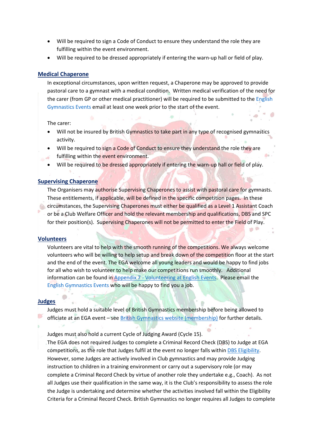- Will be required to sign a Code of Conduct to ensure they understand the role they are fulfilling within the event environment.
- Will be required to be dressed appropriately if entering the warn-up hall or field of play.

#### <span id="page-22-0"></span>**Medical Chaperone**

In exceptional circumstances, upon written request, a Chaperone may be approved to provide pastoral care to a gymnast with a medical condition. Written medical verification of the need for the carer (from GP or other medical practitioner) will be required to be submitted to the [English](mailto:engevents@englishgymnastics.org.uk)  [Gymnastics Events](mailto:engevents@englishgymnastics.org.uk) email at least one week prior to the start of the event.

The carer:

- Will not be insured by British Gymnastics to take part in any type of recognised gymnastics activity.
- Will be required to sign a Code of Conduct to ensure they understand the role they are
- fulfilling within the event environment.
- Will be required to be dressed appropriately if entering the warn-up hall or field of play.

### <span id="page-22-1"></span>**Supervising Chaperone**

The Organisers may authorise Supervising Chaperones to assist with pastoral care for gymnasts. These entitlements, if applicable, will be defined in the specific competition pages. In these circumstances, the Supervising Chaperones must either be qualified as a Level 1 Assistant Coach or be a Club Welfare Officer and hold the relevant membership and qualifications, DBS and SPC for their position(s). Supervising Chaperones will not be permitted to enter the Field of Play.

#### <span id="page-22-2"></span>**Volunteers**

Volunteers are vital to help with the smooth running of the competitions. We always welcome volunteers who will be willing to help setup and break down of the competition floor at the start and the end of the event. The EGA welcome all young leaders and would be happy to find jobs for all who wish to volunteer to help make our competitions run smoothly. Additional information can be found in Appendix 7 - [Volunteering at English Events.](#page-37-1) Please email the [English Gymnastics Events](mailto:engevents@englishgymnastics.org.uk) who will be happy to find you a job.

#### <span id="page-22-3"></span>**Judges**

Judges must hold a suitable level of British Gymnastics membership before being allowed to officiate at an EGA event – see [British Gymnastics website \(membership\)](https://www.british-gymnastics.org/memberships) for further details.

Judges must also hold a current Cycle of Judging Award (Cycle 15).

The EGA does not required Judges to complete a Criminal Record Check (DBS) to Judge at EGA competitions, as the role that Judges fulfil at the event no longer falls withi[n DBS Eligibility.](https://www.british-gymnastics.org/coaching/coach-membership/dbs) However, some Judges are actively involved in Club gymnastics and may provide Judging instruction to children in a training environment or carry out a supervisory role (or may complete a Criminal Record Check by virtue of another role they undertake e.g., Coach). As not all Judges use their qualification in the same way, it is the Club's responsibility to assess the role the Judge is undertaking and determine whether the activities involved fall within the Eligibility Criteria for a Criminal Record Check. British Gymnastics no longer requires all Judges to complete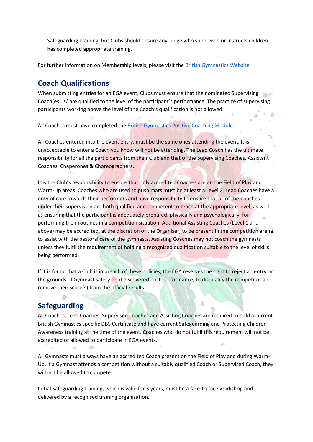Safeguarding Training, but Clubs should ensure any Judge who supervises or instructs children has completed appropriate training.

For further information on Membership levels, please visit the [British Gymnastics Website.](https://www.british-gymnastics.org/gymnasts/gymnast-membership/fees)

### <span id="page-23-0"></span>**Coach Qualifications**

When submitting entries for an EGA event, Clubs must ensure that the nominated Supervising Coach(es) is/ are qualified to the level of the participant's performance. The practice of supervising participants working above the level of the Coach's qualification is not allowed.

All Coaches must have completed th[e British Gymnastics Positive Coaching Module.](https://www.british-gymnastics.org/courses/6351/positive-coaching)

All Coaches entered into the event entry, must be the same ones attending the event. It is unacceptable to enter a Coach you know will not be attending. The Lead Coach has the ultimate responsibility for all the participants from their Club and that of the Supervising Coaches, Assistant Coaches, Chaperones & Choreographers.

It is the Club's responsibility to ensure that only accredited Coaches are on the Field of Play and Warm-Up areas. Coaches who are used to push mats must be at least a Level 2. Lead Coaches have a duty of care towards their performers and have responsibility to ensure that all of the Coaches under their supervision are both qualified and competent to teach at the appropriate level, as well as ensuring that the participant is adequately prepared, physically and psychologically, for performing their routines in a competition situation. Additional Assisting Coaches (Level 1 and above) may be accredited, at the discretion of the Organiser, to be present in the competition arena to assist with the pastoral care of the gymnasts. Assisting Coaches may not coach the gymnasts unless they fulfil the requirement of holding a recognised qualification suitable to the level of skills being performed.

If it is found that a Club is in breach of these policies, the EGA reserves the right to reject an entry on the grounds of Gymnast safety or, if discovered post-performance, to disqualify the competitor and remove their score(s) from the official results.

### <span id="page-23-1"></span>**Safeguarding**

All Coaches, Lead Coaches, Supervised Coaches and Assisting Coaches are required to hold a current British Gymnastics specific DBS Certificate and have current Safeguarding and Protecting Children Awareness training at the time of the event. Coaches who do not fulfil this requirement will not be accredited or allowed to participate in EGA events.

All Gymnasts must always have an accredited Coach present on the Field of Play and during Warm-Up. If a Gymnast attends a competition without a suitably qualified Coach or Supervised Coach, they will not be allowed to compete.

Initial Safeguarding training, which is valid for 3 years, must be a face-to-face workshop and delivered by a recognised training organisation.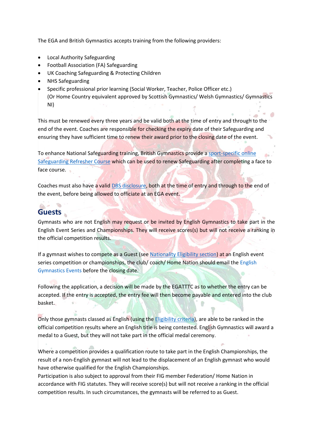The EGA and British Gymnastics accepts training from the following providers:

- Local Authority Safeguarding
- Football Association (FA) Safeguarding
- UK Coaching Safeguarding & Protecting Children
- NHS Safeguarding
- Specific professional prior learning (Social Worker, Teacher, Police Officer etc.) (Or Home Country equivalent approved by Scottish Gymnastics/ Welsh Gymnastics/ Gymnastics NI)

This must be renewed every three years and be valid both at the time of entry and through to the end of the event. Coaches are responsible for checking the expiry date of their Safeguarding and ensuring they have sufficient time to renew their award prior to the closing date of the event.

To enhance National Safeguarding training, British Gymnastics provide a [sport-specific online](https://www.british-gymnastics.org/courses/6415/safeguarding-children-in-gymnastics-2022-refresher)  [Safeguarding Refresher Course](https://www.british-gymnastics.org/courses/6415/safeguarding-children-in-gymnastics-2022-refresher) which can be used to renew Safeguarding after completing a face to face course.

Coaches must also have a valid [DBS disclosure,](https://www.british-gymnastics.org/coaching/coach-membership/dbs) both at the time of entry and through to the end of the event, before being allowed to officiate at an EGA event.

### <span id="page-24-0"></span>**Guests**

Gymnasts who are not English may request or be invited by English Gymnastics to take part in the English Event Series and Championships. They will receive scores(s) but will not receive a ranking in the official competition results.

If a gymnast wishes to compete as a Guest (see [Nationality Eligibility section\)](#page-11-1) at an English event series competition or championships, the club/ coach/ Home Nation should email the English [Gymnastics Events](mailto:engevents@englishgymnastics.org.uk) before the closing date.

Following the application, a decision will be made by the EGATTTC as to whether the entry can be accepted. If the entry is accepted, the entry fee will then become payable and entered into the club basket.

Only those gymnasts classed as English (using the [Eligibility criteria\)](#page-10-0), are able to be ranked in the official competition results where an English title is being contested. English Gymnastics will award a medal to a Guest, but they will not take part in the official medal ceremony.

Where a competition provides a qualification route to take part in the English Championships, the result of a non-English gymnast will not lead to the displacement of an English gymnast who would have otherwise qualified for the English Championships.

Participation is also subject to approval from their FIG member Federation/ Home Nation in accordance with FIG statutes. They will receive score(s) but will not receive a ranking in the official competition results. In such circumstances, the gymnasts will be referred to as Guest.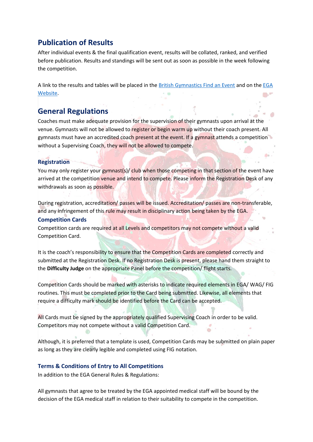### <span id="page-25-0"></span>**Publication of Results**

After individual events & the final qualification event, results will be collated, ranked, and verified before publication. Results and standings will be sent out as soon as possible in the week following the competition.

A link to the results and tables will be placed in th[e British Gymnastics Find an Event](https://www.british-gymnastics.org/find-an-event) and on the [EGA](http://www.englishgymnastics.org.uk/) [Website.](http://www.englishgymnastics.org.uk/)

### <span id="page-25-1"></span>**General Regulations**

Coaches must make adequate provision for the supervision of their gymnasts upon arrival at the venue. Gymnasts will not be allowed to register or begin warm up without their coach present. All gymnasts must have an accredited coach present at the event. If a gymnast attends a competition without a Supervising Coach, they will not be allowed to compete.

### <span id="page-25-2"></span>**Registration**

You may only register your gymnast(s)/ club when those competing in that section of the event have arrived at the competition venue and intend to compete. Please inform the Registration Desk of any withdrawals as soon as possible.

During registration, accreditation/ passes will be issued. Accreditation/ passes are non-transferable, and any infringement of this rule may result in disciplinary action being taken by the EGA.

### <span id="page-25-3"></span>**Competition Cards**

Competition cards are required at all Levels and competitors may not compete without a valid Competition Card.

It is the coach's responsibility to ensure that the Competition Cards are completed correctly and submitted at the Registration Desk. If no Registration Desk is present, please hand them straight to the **Difficulty Judge** on the appropriate Panel before the competition/ flight starts.

Competition Cards should be marked with asterisks to indicate required elements in EGA/ WAG/ FIG routines. This must be completed prior to the Card being submitted. Likewise, all elements that require a difficulty mark should be identified before the Card can be accepted.

All Cards must be signed by the appropriately qualified Supervising Coach in order to be valid. Competitors may not compete without a valid Competition Card.

Although, it is preferred that a template is used, Competition Cards may be submitted on plain paper as long as they are clearly legible and completed using FIG notation.

### <span id="page-25-4"></span>**Terms & Conditions of Entry to All Competitions**

In addition to the EGA General Rules & Regulations:

All gymnasts that agree to be treated by the EGA appointed medical staff will be bound by the decision of the EGA medical staff in relation to their suitability to compete in the competition.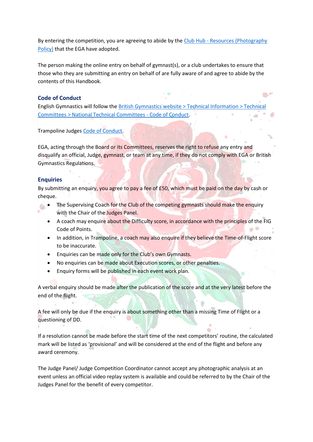By entering the competition, you are agreeing to abide by the Club Hub - Resources (Photography [Policy\)](https://clubhub-resources.british-gymnastics.org/lessons/photography-policy-v1/) that the EGA have adopted.

The person making the online entry on behalf of gymnast(s), or a club undertakes to ensure that those who they are submitting an entry on behalf of are fully aware of and agree to abide by the contents of this Handbook.

### <span id="page-26-0"></span>**Code of Conduct**

English Gymnastics will follow the [British Gymnastics website > Technical Information > Technical](https://www.british-gymnastics.org/technical-information/technical-committees/tumbling)  [Committees > National Technical Committees -](https://www.british-gymnastics.org/technical-information/technical-committees/tumbling) Code of Conduct.

Trampoline Judges [Code of Conduct.](https://www.british-gymnastics.org/documents/regions-and-home-countries/england/7831-trampoline-judges-code-of-conduct/file)

EGA, acting through the Board or its Committees, reserves the right to refuse any entry and disqualify an official, Judge, gymnast, or team at any time, if they do not comply with EGA or British Gymnastics Regulations.

### <span id="page-26-1"></span>**Enquiries**

By submitting an enquiry, you agree to pay a fee of £50, which must be paid on the day by cash or cheque.

- The Supervising Coach for the Club of the competing gymnasts should make the enquiry with the Chair of the Judges Panel.
	- A coach may enquire about the Difficulty score, in accordance with the principles of the FIG Code of Points.
	- In addition, in Trampoline, a coach may also enquire if they believe the Time-of-Flight score to be inaccurate.
	- Enquiries can be made only for the Club's own Gymnasts.
	- No enquiries can be made about Execution scores, or other penalties.
	- Enquiry forms will be published in each event work plan.

A verbal enquiry should be made after the publication of the score and at the very latest before the end of the flight.

A fee will only be due if the enquiry is about something other than a missing Time of Flight or a questioning of DD.

If a resolution cannot be made before the start time of the next competitors' routine, the calculated mark will be listed as 'provisional' and will be considered at the end of the flight and before any award ceremony.

The Judge Panel/ Judge Competition Coordinator cannot accept any photographic analysis at an event unless an official video replay system is available and could be referred to by the Chair of the Judges Panel for the benefit of every competitor.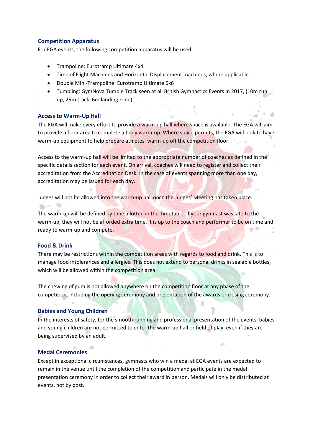### <span id="page-27-0"></span>**Competition Apparatus**

For EGA events, the following competition apparatus will be used:

- Trampoline: Eurotramp Ultimate 4x4
- Time of Flight Machines and Horizontal Displacement machines, where applicable
- Double Mini-Trampoline: Eurotramp Ultimate 6x6
- Tumbling: GymNova Tumble Track seen at all British Gymnastics Events in 2017, (10m run up, 25m track, 6m landing zone)

### <span id="page-27-1"></span>**Access to Warm-Up Hall**

The EGA will make every effort to provide a warm-up hall where space is available. The EGA will aim to provide a floor area to complete a body warm-up. Where space permits, the EGA will look to have warm-up equipment to help prepare athletes' warm-up off the competition floor.

Access to the warm-up hall will be limited to the appropriate number of coaches as defined in the specific details section for each event. On arrival, coaches will need to register and collect their accreditation from the Accreditation Desk. In the case of events spanning more than one day, accreditation may be issued for each day.

Judges will not be allowed into the warm-up hall once the Judges' Meeting has taken place.

The warm-up will be defined by time allotted in the Timetable. If your gymnast was late to the warm-up, they will not be afforded extra time. It is up to the coach and performer to be on time and ready to warm-up and compete.

### <span id="page-27-2"></span>**Food & Drink**

There may be restrictions within the competition areas with regards to food and drink. This is to manage food intolerances and allergies. This does not extend to personal drinks in sealable bottles, which will be allowed within the competition area.

The chewing of gum is not allowed anywhere on the competition floor at any phase of the competition, including the opening ceremony and presentation of the awards or closing ceremony.

### <span id="page-27-3"></span>**Babies and Young Children**

In the interests of safety, for the smooth running and professional presentation of the events, babies and young children are not permitted to enter the warm-up hall or field of play, even if they are being supervised by an adult.

### <span id="page-27-4"></span>**Medal Ceremonies**

Except in exceptional circumstances, gymnasts who win a medal at EGA events are expected to remain in the venue until the completion of the competition and participate in the medal presentation ceremony in order to collect their award in person. Medals will only be distributed at events, not by post.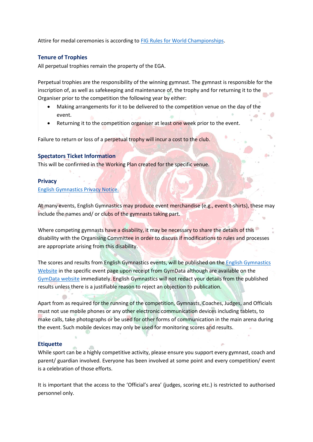Attire for medal ceremonies is according t[o FIG Rules for World Championships.](https://www.gymnastics.sport/site/rules/)

### <span id="page-28-0"></span>**Tenure of Trophies**

All perpetual trophies remain the property of the EGA.

Perpetual trophies are the responsibility of the winning gymnast. The gymnast is responsible for the inscription of, as well as safekeeping and maintenance of, the trophy and for returning it to the Organiser prior to the competition the following year by either:

- Making arrangements for it to be delivered to the competition venue on the day of the event.
- Returning it to the competition organiser at least one week prior to the event.

Failure to return or loss of a perpetual trophy will incur a cost to the club.

### <span id="page-28-1"></span>**Spectators Ticket Information**

This will be confirmed in the Working Plan created for the specific venue.

### <span id="page-28-2"></span>**Privacy**

#### [English Gymnastics Privacy Notice.](https://www.british-gymnastics.org/documents/regions-and-home-countries/england/11349-english-gymnastics-privacy-notice-april-2020-final/file)

At many events, English Gymnastics may produce event merchandise (e.g., event t-shirts), these may include the names and/ or clubs of the gymnasts taking part.

Where competing gymnasts have a disability, it may be necessary to share the details of this disability with the Organising Committee in order to discuss if modifications to rules and processes are appropriate arising from this disability.

The scores and results from English Gymnastics events, will be published on the [English Gymnastics](https://www.british-gymnastics.org/england/mens-and-womens-english-championships)  [Website](https://www.british-gymnastics.org/england/mens-and-womens-english-championships) in the specific event page upon receipt from GymData although are available on the [GymData website](https://www.gymdata.co.uk/) immediately. English Gymnastics will not redact your details from the published results unless there is a justifiable reason to reject an objection to publication.

Apart from as required for the running of the competition, Gymnasts, Coaches, Judges, and Officials must not use mobile phones or any other electronic communication devices including tablets, to make calls, take photographs or be used for other forms of communication in the main arena during the event. Such mobile devices may only be used for monitoring scores and results.

### <span id="page-28-3"></span>**Etiquette**

While sport can be a highly competitive activity, please ensure you support every gymnast, coach and parent/ guardian involved. Everyone has been involved at some point and every competition/ event is a celebration of those efforts.

It is important that the access to the 'Official's area' (judges, scoring etc.) is restricted to authorised personnel only.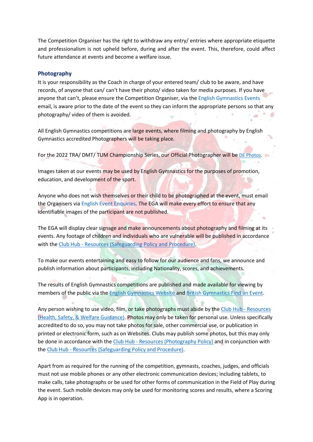The Competition Organiser has the right to withdraw any entry/ entries where appropriate etiquette and professionalism is not upheld before, during and after the event. This, therefore, could affect future attendance at events and become a welfare issue.

#### <span id="page-29-0"></span>**Photography**

It is your responsibility as the Coach in charge of your entered team/ club to be aware, and have records, of anyone that can/ can't have their photo/ video taken for media purposes. If you have anyone that can't, please ensure the Competition Organiser, via the [English Gymnastics Events](mailto:engevents@englishgymnastics.org.uk) email, is aware prior to the date of the event so they can inform the appropriate persons so that any photography/ video of them is avoided.

All English Gymnastics competitions are large events, where filming and photography by English Gymnastics accredited Photographers will be taking place.

For the 2022 TRA/ DMT/ TUM Championship Series, our Official Photographer will be [DE Photos.](https://dephoto.biz/privacy-policy)

Images taken at our events may be used by English Gymnastics for the purposes of promotion, education, and development of the sport.

Anyone who does not wish themselves or their child to be photographed at the event, must email the Organisers via [English Event Enquiries.](mailto:engevents@englishgymnastics.org.uk) The EGA will make every effort to ensure that any identifiable images of the participant are not published.

The EGA will display clear signage and make announcements about photography and filming at its events. Any footage of children and individuals who are vulnerable will be published in accordance with the Club Hub - [Resources \(Safeguarding Policy and Procedure\).](https://clubhub-resources.british-gymnastics.org/lessons/safeguarding-policy-and-procedure/)

To make our events entertaining and easy to follow for our audience and fans, we announce and publish information about participants, including Nationality, scores, and achievements.

The results of English Gymnastics competitions are published and made available for viewing by members of the public via the [English Gymnastics Website](https://www.british-gymnastics.org/england/mens-and-womens-english-championships) and [British Gymnastics](https://www.british-gymnastics.org/find-an-event) Find an Event.

Any person wishing to use video, film, or take photographs must abide by the [Club Hub -](https://clubhub-resources.british-gymnastics.org/courses/policies-and-procedures) Resources [\(Health, Safety, & Welfare Guidance\).](https://clubhub-resources.british-gymnastics.org/courses/policies-and-procedures) Photos may only be taken for personal use. Unless specifically accredited to do so, you may not take photos for sale, other commercial use, or publication in printed or electronic form, such as on Websites. Clubs may publish some photos, but this may only be done in accordance with the Club Hub - [Resources \(Photography Policy\)](https://clubhub-resources.british-gymnastics.org/lessons/photography-policy-v1/) and in conjunction with the Club Hub - [Resources \(Safeguarding Policy and Procedure\).](https://clubhub-resources.british-gymnastics.org/lessons/safeguarding-policy-and-procedure/)

Apart from as required for the running of the competition, gymnasts, coaches, judges, and officials must not use mobile phones or any other electronic communication devices; including tablets, to make calls, take photographs or be used for other forms of communication in the Field of Play during the event. Such mobile devices may only be used for monitoring scores and results, where a Scoring App is in operation.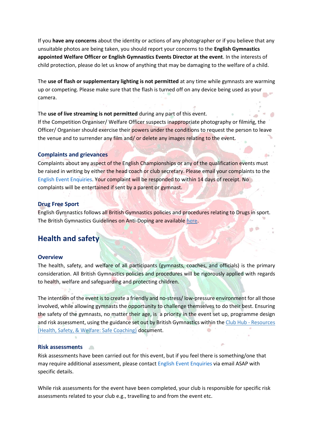If you **have any concerns** about the identity or actions of any photographer or if you believe that any unsuitable photos are being taken, you should report your concerns to the **English Gymnastics appointed Welfare Officer or English Gymnastics Events Director at the event**. In the interests of child protection, please do let us know of anything that may be damaging to the welfare of a child.

The **use of flash or supplementary lighting is not permitted** at any time while gymnasts are warming up or competing. Please make sure that the flash is turned off on any device being used as your camera.

#### The **use of live streaming is not permitted** during any part of this event.

If the Competition Organiser/ Welfare Officer suspects inappropriate photography or filming, the Officer/ Organiser should exercise their powers under the conditions to request the person to leave the venue and to surrender any film and/ or delete any images relating to the event.

#### <span id="page-30-0"></span>**Complaints and grievances**

Complaints about any aspect of the English Championships or any of the qualification events must be raised in writing by either the head coach or club secretary. Please email your complaints to the [English Event Enquiries.](mailto:engevents@englishgymnastics.org.uk) Your complaint will be responded to within 14 days of receipt. No complaints will be entertained if sent by a parent or gymnast.

### <span id="page-30-1"></span>**Drug Free Sport**

English Gymnastics follows all British Gymnastics policies and procedures relating to Drugs in sport. The British Gymnastics Guidelines on Anti-Doping are available [here.](https://www.british-gymnastics.org/technical-information/performance-gymnastics/anti-doping)

### <span id="page-30-2"></span>**Health and safety**

#### <span id="page-30-3"></span>**Overview**

The health, safety, and welfare of all participants (gymnasts, coaches, and officials) is the primary consideration. All British Gymnastics policies and procedures will be rigorously applied with regards to health, welfare and safeguarding and protecting children.

The intention of the event is to create a friendly and no-stress/ low-pressure environment for all those involved, while allowing gymnasts the opportunity to challenge themselves to do their best. Ensuring the safety of the gymnasts, no matter their age, is a priority in the event set up, programme design and risk assessment, using the guidance set out by British Gymnastics within the Club Hub - Resources [\(Health, Safety, & Welfare: Safe Coaching\)](https://clubhub-resources.british-gymnastics.org/lessons/health-and-safety-guidance-safe-coaching/) document.

#### <span id="page-30-4"></span>**Risk assessments**

Risk assessments have been carried out for this event, but if you feel there is something/one that may require additional assessment, please contact [English Event Enquiries](mailto:engevents@englishgymnastics.org.uk) via email ASAP with specific details.

While risk assessments for the event have been completed, your club is responsible for specific risk assessments related to your club e.g., travelling to and from the event etc.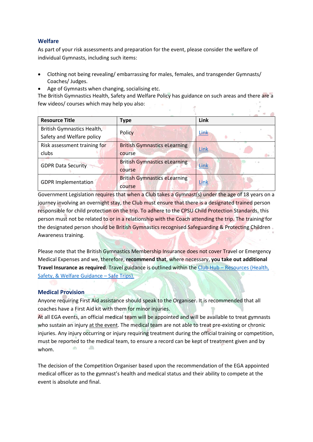### <span id="page-31-0"></span>**Welfare**

As part of your risk assessments and preparation for the event, please consider the welfare of individual Gymnasts, including such items:

- Clothing not being revealing/ embarrassing for males, females, and transgender Gymnasts/ Coaches/ Judges.
- Age of Gymnasts when changing, socialising etc.

The British Gymnastics Health, Safety and Welfare Policy has guidance on such areas and there are a few videos/ courses which may help you also:

| <b>Resource Title</b>                                     | <b>Type</b>                                   | Link             |
|-----------------------------------------------------------|-----------------------------------------------|------------------|
| British Gymnastics Health,                                | Policy                                        | Link             |
| Safety and Welfare policy<br>Risk assessment training for | <b>British Gymnastics eLearning</b>           |                  |
| clubs                                                     | course                                        | Link             |
| <b>GDPR Data Security</b>                                 | <b>British Gymnastics eLearning</b>           | $1 - 41$<br>Link |
|                                                           | course                                        |                  |
| <b>GDPR Implementation</b>                                | <b>British Gymnastics eLearning</b><br>course | Link             |

Government Legislation requires that when a Club takes a Gymnast(s) under the age of 18 years on a journey involving an overnight stay, the Club must ensure that there is a designated trained person responsible for child protection on the trip. To adhere to the CPSU Child Protection Standards, this person must not be related to or in a relationship with the Coach attending the trip. The training for the designated person should be British Gymnastics recognised Safeguarding & Protecting Children Awareness training.

Please note that the British Gymnastics Membership Insurance does not cover Travel or Emergency Medical Expenses and we, therefore, **recommend that**, where necessary, **you take out additional Travel Insurance as required**. Travel guidance is outlined within the Club Hub – [Resources \(Health,](https://clubhub-resources.british-gymnastics.org/lessons/health-safety-and-welfare-guidance-safe-trips/)  [Safety, & Welfare](https://clubhub-resources.british-gymnastics.org/lessons/health-safety-and-welfare-guidance-safe-trips/) Guidance – Safe Trips).

### <span id="page-31-1"></span>**Medical Provision**

Anyone requiring First Aid assistance should speak to the Organiser. It is recommended that all coaches have a First Aid kit with them for minor injuries.

At all EGA events, an official medical team will be appointed and will be available to treat gymnasts who sustain an injury at the event. The medical team are not able to treat pre-existing or chronic injuries. Any injury occurring or injury requiring treatment during the official training or competition, must be reported to the medical team, to ensure a record can be kept of treatment given and by 10 whom.

The decision of the Competition Organiser based upon the recommendation of the EGA appointed medical officer as to the gymnast's health and medical status and their ability to compete at the event is absolute and final.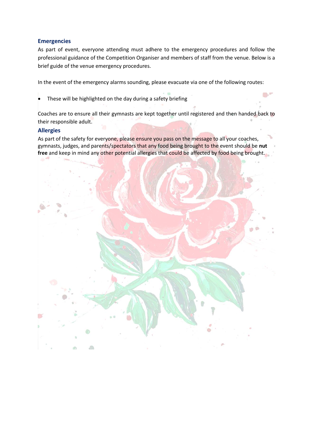### <span id="page-32-0"></span>**Emergencies**

As part of event, everyone attending must adhere to the emergency procedures and follow the professional guidance of the Competition Organiser and members of staff from the venue. Below is a brief guide of the venue emergency procedures.

In the event of the emergency alarms sounding, please evacuate via one of the following routes:

These will be highlighted on the day during a safety briefing

Coaches are to ensure all their gymnasts are kept together until registered and then handed back to their responsible adult.

 $\mathbb{R}^n$ 

### <span id="page-32-1"></span>**Allergies**

As part of the safety for everyone, please ensure you pass on the message to all your coaches, gymnasts, judges, and parents/spectators that any food being brought to the event should be **nut free** and keep in mind any other potential allergies that could be affected by food being brought.

![](_page_32_Picture_7.jpeg)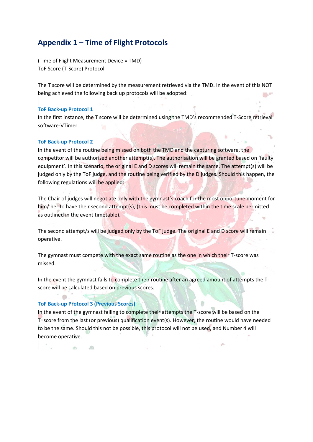### <span id="page-33-0"></span>**Appendix 1 – Time of Flight Protocols**

(Time of Flight Measurement Device = TMD) ToF Score (T-Score) Protocol

The T score will be determined by the measurement retrieved via the TMD. In the event of this NOT being achieved the following back up protocols will be adopted:

#### **ToF Back-up Protocol 1**

In the first instance, the T score will be determined using the TMD's recommended T-Score retrieval software-VTimer.

#### **ToF Back-up Protocol 2**

In the event of the routine being missed on both the TMD and the capturing software, the competitor will be authorised another attempt(s). The authorisation will be granted based on 'faulty equipment'. In this scenario, the original E and D scores will remain the same. The attempt(s) will be judged only by the ToF judge, and the routine being verified by the D judges. Should this happen, the following regulations will be applied:

The Chair of judges will negotiate only with the gymnast's coach for the most opportune moment for him/ her to have their second attempt(s), (this must be completed within the time scale permitted as outlined in the event timetable).

The second attempt/s will be judged only by the ToF judge. The original E and D score will remain operative.

The gymnast must compete with the exact same routine as the one in which their T-score was missed.

In the event the gymnast fails to complete their routine after an agreed amount of attempts the Tscore will be calculated based on previous scores.

#### **ToF Back-up Protocol 3 (Previous Scores)**

In the event of the gymnast failing to complete their attempts the T-score will be based on the T=score from the last (or previous) qualification event(s). However, the routine would have needed to be the same. Should this not be possible, this protocol will not be used, and Number 4 will become operative.

 $\sqrt{2}$  $40^{\circ}$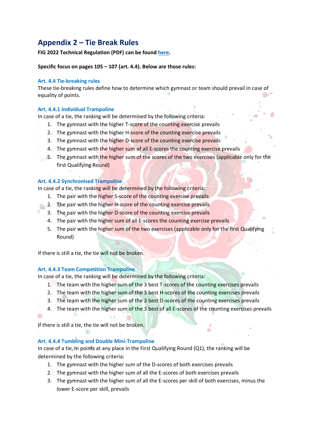### <span id="page-34-0"></span>**Appendix 2 – Tie Break Rules**

**FIG 2022 Technical Regulation (PDF) can be foun[d here.](https://www.gymnastics.sport/site/rules/)** 

**Specific focus on pages 105 – 107 (art. 4.4). Below are those rules:**

#### **Art. 4.4 Tie-breaking rules**

These tie-breaking rules define how to determine which gymnast or team should prevail in case of equality of points.

### **Art. 4.4.1 Individual Trampoline**

In case of a tie, the ranking will be determined by the following criteria:

- 1. The gymnast with the higher T-score of the counting exercise prevails
- 2. The gymnast with the higher H-score of the counting exercise prevails
- 3. The gymnast with the higher D-score of the counting exercise prevails
- 4. The gymnast with the higher sum of all E-scores the counting exercise prevails
- 5. The gymnast with the higher sum of the scores of the two exercises (applicable only for the first Qualifying Round)

### **Art. 4.4.2 Synchronised Trampoline**

In case of a tie, the ranking will be determined by the following criteria:

- 1. The pair with the higher S-score of the counting exercise prevails
- 2. The pair with the higher H-score of the counting exercise prevails
- 3. The pair with the higher D-score of the counting exercise prevails
- 4. The pair with the higher sum of all E-scores the counting exercise prevails
- 5. The pair with the higher sum of the two exercises (applicable only for the first Qualifying Round)

If there is still a tie, the tie will not be broken.

### **Art. 4.4.3 Team Competition Trampoline**

In case of a tie, the ranking will be determined by the following criteria:

- 1. The team with the higher sum of the 3 best T-scores of the counting exercises prevails
- 2. The team with the higher sum of the 3 best H-scores of the counting exercises prevails
- 3. The team with the higher sum of the 3 best D-scores of the counting exercises prevails
- 4. The team with the higher sum of the 3 best of all E-scores of the counting exercises prevails

If there is still a tie, the tie will not be broken.

### **Art. 4.4.4 Tumbling and Double Mini-Trampoline**

In case of a tie, in points at any place in the First Qualifying Round (Q1), the ranking will be determined by the following criteria:

- 1. The gymnast with the higher sum of the D-scores of both exercises prevails
- 2. The gymnast with the higher sum of all the E-scores of both exercises prevails
- 3. The gymnast with the higher sum of all the E-scores per skill of both exercises, minus the lower E-score per skill, prevails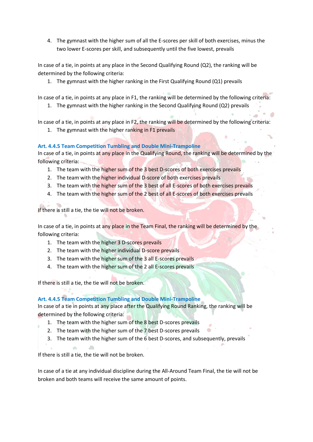4. The gymnast with the higher sum of all the E-scores per skill of both exercises, minus the two lower E-scores per skill, and subsequently until the five lowest, prevails

In case of a tie, in points at any place in the Second Qualifying Round (Q2), the ranking will be determined by the following criteria:

1. The gymnast with the higher ranking in the First Qualifying Round (Q1) prevails

In case of a tie, in points at any place in F1, the ranking will be determined by the following criteria:

1. The gymnast with the higher ranking in the Second Qualifying Round (Q2) prevails

In case of a tie, in points at any place in F2, the ranking will be determined by the following criteria:

1. The gymnast with the higher ranking in F1 prevails

### **Art. 4.4.5 Team Competition Tumbling and Double Mini-Trampoline**

In case of a tie, in points at any place in the Qualifying Round, the ranking will be determined by the following criteria:

- 1. The team with the higher sum of the 3 best D-scores of both exercises prevails
- 2. The team with the higher individual D-score of both exercises prevails
- 3. The team with the higher sum of the 3 best of all E-scores of both exercises prevails
- 4. The team with the higher sum of the 2 best of all E-scores of both exercises prevails

If there is still a tie, the tie will not be broken.

In case of a tie, in points at any place in the Team Final, the ranking will be determined by the following criteria:

- 1. The team with the higher 3 D-scores prevails
- 2. The team with the higher individual D-score prevails
- 3. The team with the higher sum of the 3 all E-scores prevails
- 4. The team with the higher sum of the 2 all E-scores prevails

If there is still a tie, the tie will not be broken.

### **Art. 4.4.5 Team Competition Tumbling and Double Mini-Trampoline**

In case of a tie in points at any place after the Qualifying Round Ranking, the ranking will be determined by the following criteria:

- 1. The team with the higher sum of the 8 best D-scores prevails
- 2. The team with the higher sum of the 7 best D-scores prevails
- 3. The team with the higher sum of the 6 best D-scores, and subsequently, prevails

If there is still a tie, the tie will not be broken.

 $\langle \rangle$ 

In case of a tie at any individual discipline during the All-Around Team Final, the tie will not be broken and both teams will receive the same amount of points.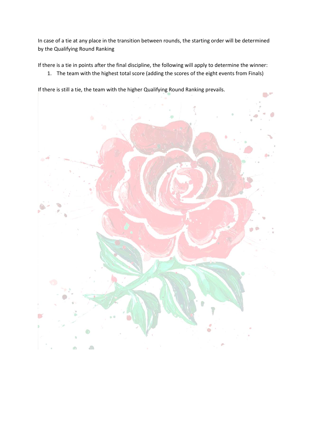In case of a tie at any place in the transition between rounds, the starting order will be determined by the Qualifying Round Ranking

If there is a tie in points after the final discipline, the following will apply to determine the winner:

1. The team with the highest total score (adding the scores of the eight events from Finals)

If there is still a tie, the team with the higher Qualifying Round Ranking prevails.

![](_page_36_Picture_4.jpeg)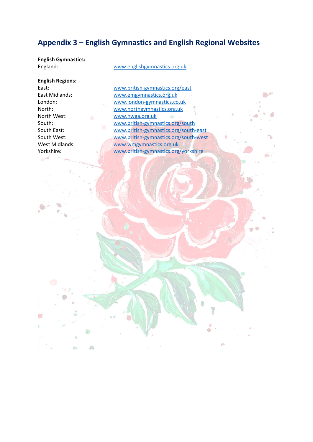### <span id="page-37-0"></span>**Appendix 3 – English Gymnastics and English Regional Websites**

**English Gymnastics:**

[www.englishgymnastics.org.uk](http://www.englishgymnastics.org.uk/)

**English Regions:**

<span id="page-37-1"></span> $\mathbb{Z}$ 

 $\partial\theta$ 

通

East: [www.british-gymnastics.org/east](http://www.british-gymnastics.org/east) East Midlands: [www.emgymnastics.org.uk](http://www.emgymnastics.org.uk/) London: [www.london-gymnastics.co.uk](http://www.london-gymnastics.co.uk/) North: [www.northgymnastics.org.uk](http://www.northgymnastics.org.uk/) North West: [www.nwga.org.uk](http://www.nwga.org.uk/) ø South: [www.british-gymnastics.org/south](http://www.british-gymnastics.org/south) South East: [www.british-gymnastics.org/south-east](http://www.british-gymnastics.org/south-east) South West: [www.british-gymnastics.org/south-west](http://www.british-gymnastics.org/south-west) West Midlands: [www.wmgymnastics.org.uk](http://www.wmgymnastics.org.uk/) Yorkshire: [www.british-gymnastics.org/yorkshire](http://www.british-gymnastics.org/yorkshire)

 $\mathbb{R}^n$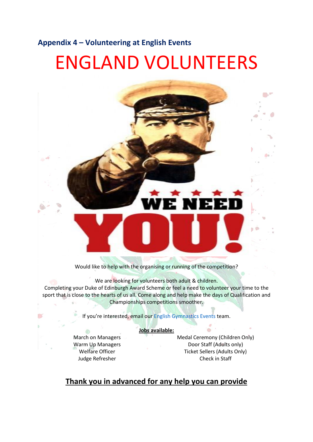### <span id="page-38-0"></span>**Appendix 4 – Volunteering at English Events**

# ENGLAND VOLUNTEERS

![](_page_38_Picture_2.jpeg)

We are looking for volunteers both adult & children. Completing your Duke of Edinburgh Award Scheme or feel a need to volunteer your time to the sport that is close to the hearts of us all. Come along and help make the days of Qualification and Championships competitions smoother.

If you're interested, email our [English Gymnastics Events](mailto:engevents@englishgymnastics.org.uk) team.

#### **Jobs available:**

March on Managers Warm Up Managers Welfare Officer Judge Refresher

Medal Ceremony (Children Only) Door Staff (Adults only) Ticket Sellers (Adults Only) Check in Staff

### **Thank you in advanced for any help you can provide**